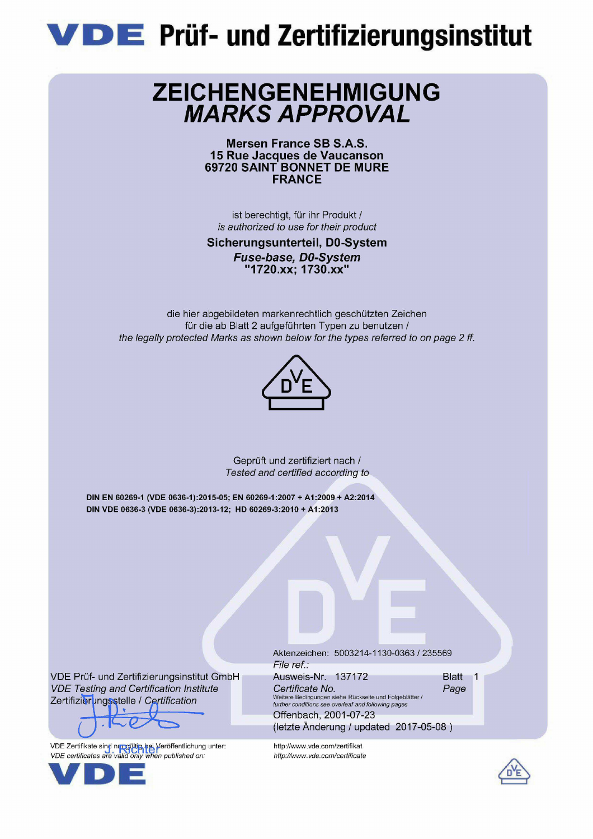

# **ZEICHENGENEHMIGUNG<br>MARKS APPROVAL**

Mersen France SB S.A.S. 15 Rue Jacques de Vaucanson 69720 SAINT BONNET DE MURE **FRANCE** 

ist berechtigt, für ihr Produkt / is authorized to use for their product

Sicherungsunterteil, D0-System Fuse-base, D0-System "1720.xx: 1730.xx"

die hier abgebildeten markenrechtlich geschützten Zeichen für die ab Blatt 2 aufgeführten Typen zu benutzen / the legally protected Marks as shown below for the types referred to on page 2 ff.



Geprüft und zertifiziert nach / Tested and certified according to

DIN EN 60269-1 (VDE 0636-1):2015-05; EN 60269-1:2007 + A1:2009 + A2:2014 DIN VDE 0636-3 (VDE 0636-3):2013-12; HD 60269-3:2010 + A1:2013

VDE Prüf- und Zertifizierungsinstitut GmbH **VDE Testing and Certification Institute** Zertifizierungsstelle / Certification

VDE Zertifikate sind nungültip hei Veröffentlichung unter:<br>VDE certificates are valid only when published on:



Aktenzeichen: 5003214-1130-0363 / 235569 File ref.: Ausweis-Nr. 137172 Certificate No. Page Weitere Bedingungen siehe Rückseite und Folgeblätter /<br>further conditions see overleaf and following pages

(letzte Änderung / updated 2017-05-08)

Offenbach, 2001-07-23

http://www.vde.com/zertifikat http://www.vde.com/certificate Blatt 1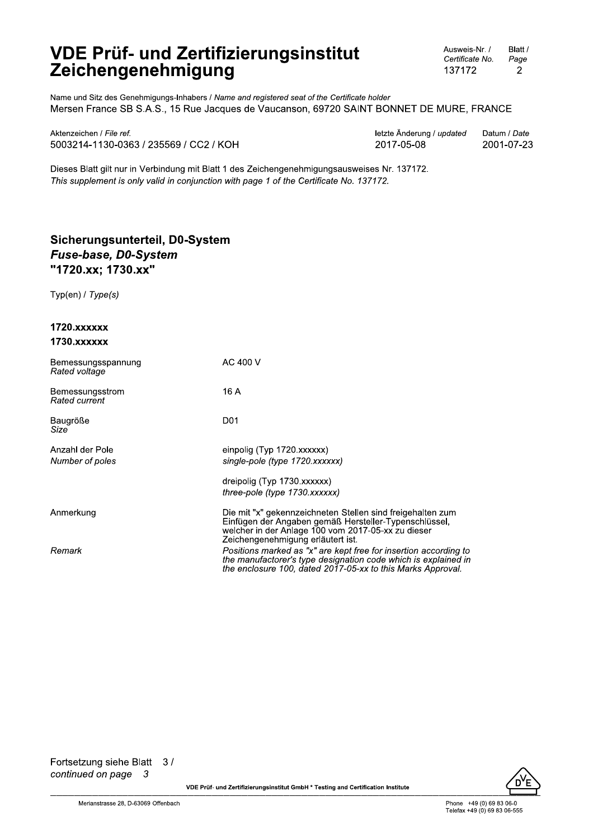Ausweis-Nr. / Blatt / Certificate No. Page 137172 2

Name und Sitz des Genehmigungs-Inhabers / Name and registered seat of the Certificate holder Mersen France SB S.A.S., 15 Rue Jacques de Vaucanson, 69720 SAINT BONNET DE MURE, FRANCE

Aktenzeichen / File ref. 5003214-1130-0363 / 235569 / CC2 / KOH letzte Änderung / updated Datum / Date 2017-05-08 2001-07-23

Dieses Blatt gilt nur in Verbindung mit Blatt 1 des Zeichengenehmigungsausweises Nr. 137172. This supplement is only valid in conjunction with page 1 of the Certificate No. 137172.

### Sicherungsunterteil, D0-System Fuse-base, D0-System "1720.xx; 1730.xx"

Typ(en) / Type(s)

| 1720.xxxxxx<br>1730.xxxxxx          |                                                                                                                                                                                                                |
|-------------------------------------|----------------------------------------------------------------------------------------------------------------------------------------------------------------------------------------------------------------|
| Bemessungsspannung<br>Rated voltage | AC 400 V                                                                                                                                                                                                       |
| Bemessungsstrom<br>Rated current    | 16 A                                                                                                                                                                                                           |
| Baugröße<br>Size                    | D <sub>01</sub>                                                                                                                                                                                                |
| Anzahl der Pole<br>Number of poles  | einpolig (Typ 1720.xxxxxx)<br>single-pole (type 1720.xxxxxx)                                                                                                                                                   |
|                                     | dreipolig (Typ 1730.xxxxxx)<br>three-pole (type 1730.xxxxxx)                                                                                                                                                   |
| Anmerkung                           | Die mit "x" gekennzeichneten Stellen sind freigehalten zum<br>Einfügen der Angaben gemäß Hersteller-Typenschlüssel,<br>welcher in der Anlage 100 vom 2017-05-xx zu dieser<br>Zeichengenehmigung erläutert ist. |
| Remark                              | Positions marked as "x" are kept free for insertion according to<br>the manufactorer's type designation code which is explained in<br>the enclosure 100, dated 2017-05-xx to this Marks Approval.              |

Fortsetzung siehe Blatt 3/ continued on page 3



VDE Prüf- und Zertifizierungsinstitut GmbH \* Testing and Certification Institute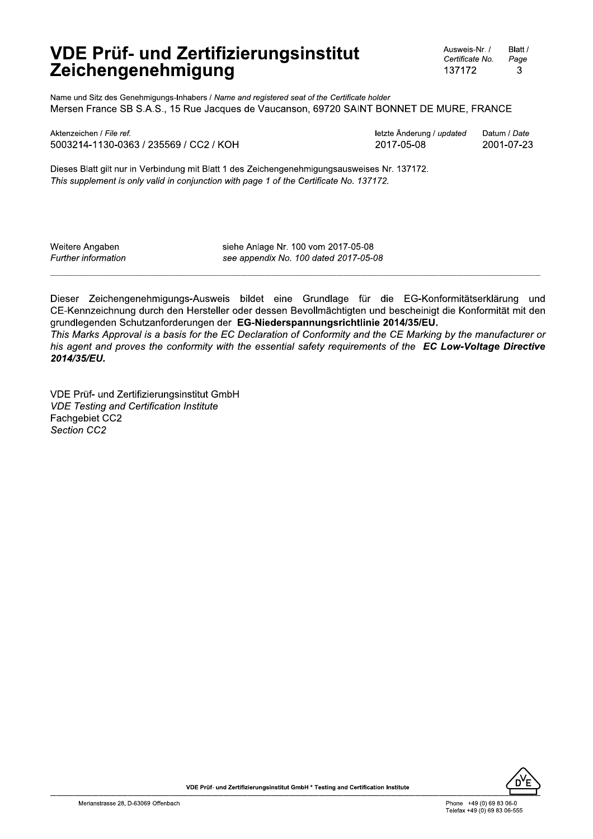Ausweis-Nr. / Blatt / Certificate No. Page 137172 3

Name und Sitz des Genehmigungs-Inhabers / Name and registered seat of the Certificate holder Mersen France SB S.A.S., 15 Rue Jacques de Vaucanson, 69720 SAINT BONNET DE MURE, FRANCE

Aktenzeichen / File ref. 5003214-1130-0363 / 235569 / CC2 / KOH letzte Änderung / updated Datum / Date 2017-05-08 2001-07-23

Dieses Blatt gilt nur in Verbindung mit Blatt 1 des Zeichengenehmigungsausweises Nr. 137172. This supplement is only valid in conjunction with page 1 of the Certificate No. 137172.

Weitere Angaben Further information siehe Anlage Nr. 100 vom 2017-05-08 see appendix No. 100 dated 2017-05-08

Dieser Zeichengenehmigungs-Ausweis bildet eine Grundlage für die EG-Konformitätserklärung und CE-Kennzeichnung durch den Hersteller oder dessen Bevollmächtigten und bescheinigt die Konformität mit den grundlegenden Schutzanforderungen der EG-Niederspannungsrichtlinie 2014/35/EU.

This Marks Approval is a basis for the EC Declaration of Conformity and the CE Marking by the manufacturer or his agent and proves the conformity with the essential safety requirements of the **EC Low-Voltage Directive** 2014/35/EU.

VDE Prüf- und Zertifizierungsinstitut GmbH **VDE Testing and Certification Institute** Fachgebiet CC2 Section CC2

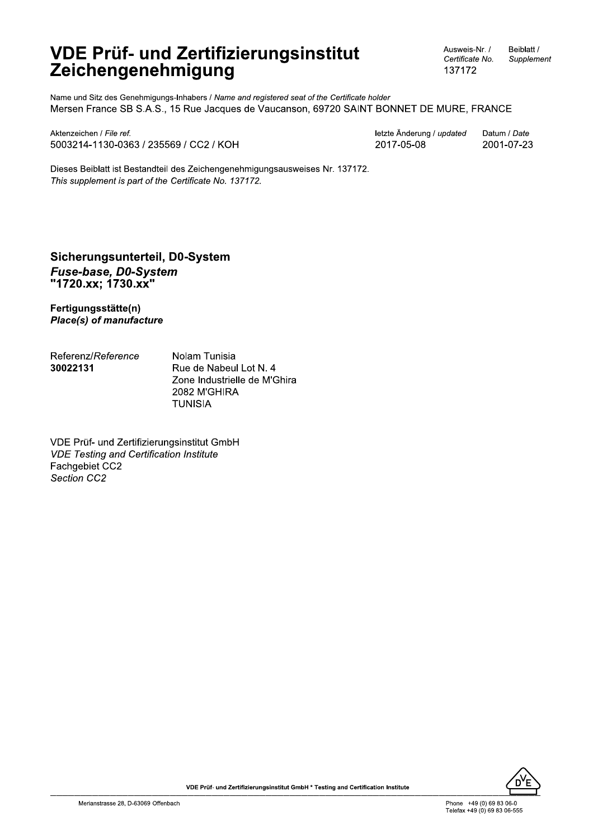Ausweis-Nr. / Certificate No. 137172

Beiblatt / Supplement

Name und Sitz des Genehmigungs-Inhabers / Name and registered seat of the Certificate holder Mersen France SB S.A.S., 15 Rue Jacques de Vaucanson, 69720 SAINT BONNET DE MURE, FRANCE

Aktenzeichen / File ref. 5003214-1130-0363 / 235569 / CC2 / KOH letzte Änderung / updated Datum / Date 2017-05-08 2001-07-23

Dieses Beiblatt ist Bestandteil des Zeichengenehmigungsausweises Nr. 137172. This supplement is part of the Certificate No. 137172.

#### Sicherungsunterteil, D0-System Fuse-base, D0-System "1720.xx; 1730.xx"

Fertigungsstätte(n) **Place(s) of manufacture** 

Referenz/Reference 30022131

Nolam Tunisia Rue de Nabeul Lot N. 4 Zone Industrielle de M'Ghira 2082 M'GHIRA **TUNISIA** 

VDE Prüf- und Zertifizierungsinstitut GmbH **VDE Testing and Certification Institute** Fachgebiet CC2 Section CC2

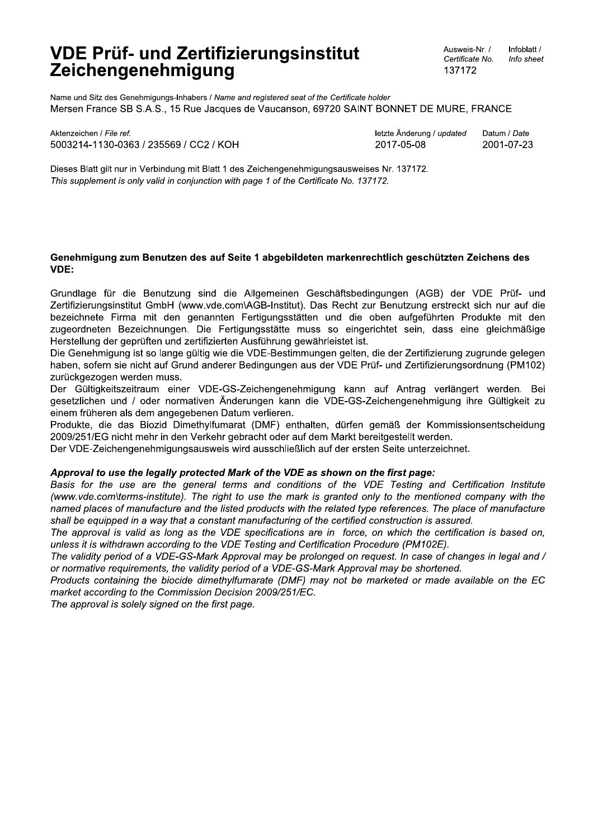Ausweis-Nr. / Infoblatt / Certificate No. Info sheet 137172

Name und Sitz des Genehmigungs-Inhabers / Name and registered seat of the Certificate holder Mersen France SB S.A.S., 15 Rue Jacques de Vaucanson, 69720 SAINT BONNET DE MURE, FRANCE

Aktenzeichen / File ref. 5003214-1130-0363 / 235569 / CC2 / KOH letzte Änderung / updated Datum / Date 2017-05-08 2001-07-23

Dieses Blatt gilt nur in Verbindung mit Blatt 1 des Zeichengenehmigungsausweises Nr. 137172. This supplement is only valid in conjunction with page 1 of the Certificate No. 137172.

#### Genehmigung zum Benutzen des auf Seite 1 abgebildeten markenrechtlich geschützten Zeichens des VDE:

Grundlage für die Benutzung sind die Allgemeinen Geschäftsbedingungen (AGB) der VDE Prüf- und Zertifizierungsinstitut GmbH (www.vde.com\AGB-Institut). Das Recht zur Benutzung erstreckt sich nur auf die bezeichnete Firma mit den genannten Fertigungsstätten und die oben aufgeführten Produkte mit den zugeordneten Bezeichnungen. Die Fertigungsstätte muss so eingerichtet sein, dass eine gleichmäßige Herstellung der geprüften und zertifizierten Ausführung gewährleistet ist.

Die Genehmigung ist so lange gültig wie die VDE-Bestimmungen gelten, die der Zertifizierung zugrunde gelegen haben, sofern sie nicht auf Grund anderer Bedingungen aus der VDE Prüf- und Zertifizierungsordnung (PM102) zurückgezogen werden muss.

Der Gültigkeitszeitraum einer VDE-GS-Zeichengenehmigung kann auf Antrag verlängert werden. Bei gesetzlichen und / oder normativen Änderungen kann die VDE-GS-Zeichengenehmigung ihre Gültigkeit zu einem früheren als dem angegebenen Datum verlieren.

Produkte, die das Biozid Dimethylfumarat (DMF) enthalten, dürfen gemäß der Kommissionsentscheidung 2009/251/EG nicht mehr in den Verkehr gebracht oder auf dem Markt bereitgestellt werden.

Der VDE-Zeichengenehmigungsausweis wird ausschließlich auf der ersten Seite unterzeichnet.

#### Approval to use the legally protected Mark of the VDE as shown on the first page:

Basis for the use are the general terms and conditions of the VDE Testing and Certification Institute (www.vde.com\terms-institute). The right to use the mark is granted only to the mentioned company with the named places of manufacture and the listed products with the related type references. The place of manufacture shall be equipped in a way that a constant manufacturing of the certified construction is assured.

The approval is valid as long as the VDE specifications are in force, on which the certification is based on, unless it is withdrawn according to the VDE Testing and Certification Procedure (PM102E).

The validity period of a VDE-GS-Mark Approval may be prolonged on request. In case of changes in legal and / or normative requirements, the validity period of a VDE-GS-Mark Approval may be shortened.

Products containing the biocide dimethylfumarate (DMF) may not be marketed or made available on the EC market according to the Commission Decision 2009/251/EC.

The approval is solely signed on the first page.